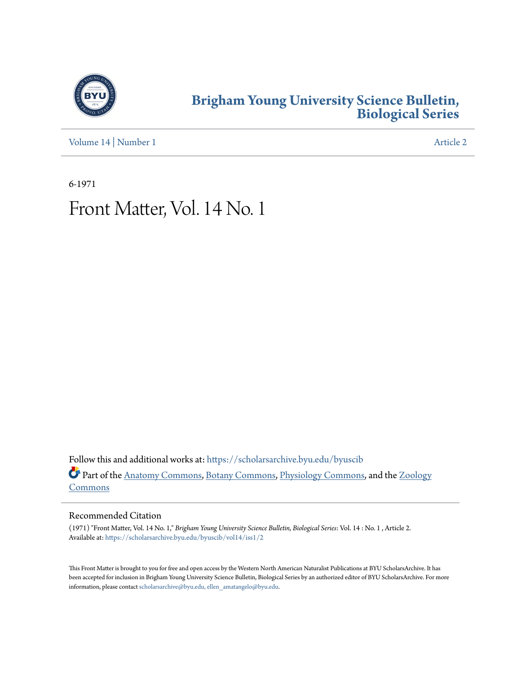

## **[Brigham Young University Science Bulletin,](https://scholarsarchive.byu.edu/byuscib?utm_source=scholarsarchive.byu.edu%2Fbyuscib%2Fvol14%2Fiss1%2F2&utm_medium=PDF&utm_campaign=PDFCoverPages) [Biological Series](https://scholarsarchive.byu.edu/byuscib?utm_source=scholarsarchive.byu.edu%2Fbyuscib%2Fvol14%2Fiss1%2F2&utm_medium=PDF&utm_campaign=PDFCoverPages)**

[Volume 14](https://scholarsarchive.byu.edu/byuscib/vol14?utm_source=scholarsarchive.byu.edu%2Fbyuscib%2Fvol14%2Fiss1%2F2&utm_medium=PDF&utm_campaign=PDFCoverPages) | [Number 1](https://scholarsarchive.byu.edu/byuscib/vol14/iss1?utm_source=scholarsarchive.byu.edu%2Fbyuscib%2Fvol14%2Fiss1%2F2&utm_medium=PDF&utm_campaign=PDFCoverPages) [Article 2](https://scholarsarchive.byu.edu/byuscib/vol14/iss1/2?utm_source=scholarsarchive.byu.edu%2Fbyuscib%2Fvol14%2Fiss1%2F2&utm_medium=PDF&utm_campaign=PDFCoverPages)

6-1971

## Front Matter, Vol. 14 No. 1

Follow this and additional works at: [https://scholarsarchive.byu.edu/byuscib](https://scholarsarchive.byu.edu/byuscib?utm_source=scholarsarchive.byu.edu%2Fbyuscib%2Fvol14%2Fiss1%2F2&utm_medium=PDF&utm_campaign=PDFCoverPages) Part of the [Anatomy Commons](http://network.bepress.com/hgg/discipline/903?utm_source=scholarsarchive.byu.edu%2Fbyuscib%2Fvol14%2Fiss1%2F2&utm_medium=PDF&utm_campaign=PDFCoverPages), [Botany Commons](http://network.bepress.com/hgg/discipline/104?utm_source=scholarsarchive.byu.edu%2Fbyuscib%2Fvol14%2Fiss1%2F2&utm_medium=PDF&utm_campaign=PDFCoverPages), [Physiology Commons,](http://network.bepress.com/hgg/discipline/69?utm_source=scholarsarchive.byu.edu%2Fbyuscib%2Fvol14%2Fiss1%2F2&utm_medium=PDF&utm_campaign=PDFCoverPages) and the [Zoology](http://network.bepress.com/hgg/discipline/81?utm_source=scholarsarchive.byu.edu%2Fbyuscib%2Fvol14%2Fiss1%2F2&utm_medium=PDF&utm_campaign=PDFCoverPages) [Commons](http://network.bepress.com/hgg/discipline/81?utm_source=scholarsarchive.byu.edu%2Fbyuscib%2Fvol14%2Fiss1%2F2&utm_medium=PDF&utm_campaign=PDFCoverPages)

#### Recommended Citation

(1971) "Front Matter, Vol. 14 No. 1," *Brigham Young University Science Bulletin, Biological Series*: Vol. 14 : No. 1 , Article 2. Available at: [https://scholarsarchive.byu.edu/byuscib/vol14/iss1/2](https://scholarsarchive.byu.edu/byuscib/vol14/iss1/2?utm_source=scholarsarchive.byu.edu%2Fbyuscib%2Fvol14%2Fiss1%2F2&utm_medium=PDF&utm_campaign=PDFCoverPages)

This Front Matter is brought to you for free and open access by the Western North American Naturalist Publications at BYU ScholarsArchive. It has been accepted for inclusion in Brigham Young University Science Bulletin, Biological Series by an authorized editor of BYU ScholarsArchive. For more information, please contact [scholarsarchive@byu.edu, ellen\\_amatangelo@byu.edu](mailto:scholarsarchive@byu.edu,%20ellen_amatangelo@byu.edu).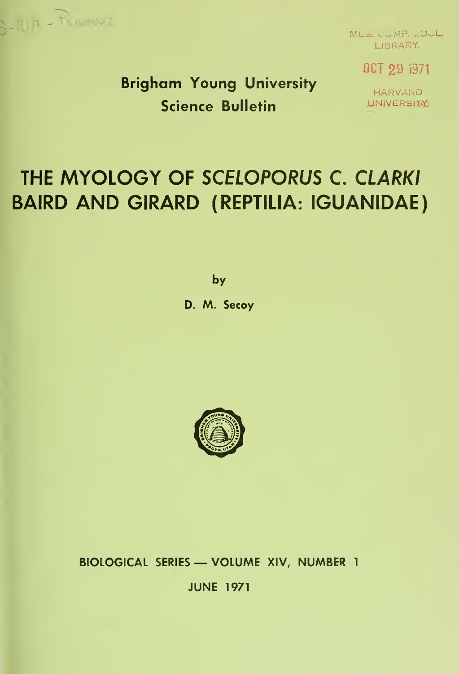

MUS. COMP. 2001 LIBRARY,

OCT 29 i371

Brigham Young University Science Bulletin

HARVARD **UNIVERSITY** 

# THE MYOLOGY OF SCELOPORUS C. CLARKI BAIRD AND GIRARD (REPTILIA: IGUANIDAE)

by

D. M. Secoy



BIOLOGICAL SERIES — VOLUME XIV, NUMBER <sup>1</sup> JUNE 1971